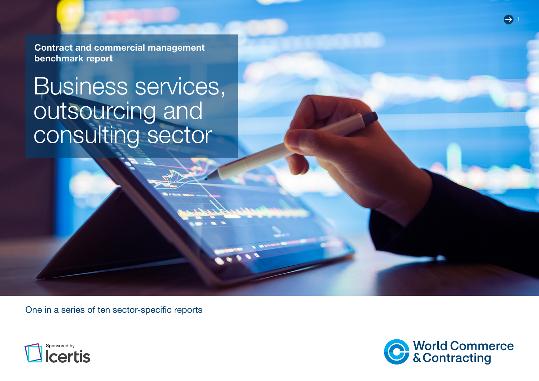Contract and commercial management benchmark report

# Business services, outsourcing and consulting sector

One in a series of ten sector-specific reports



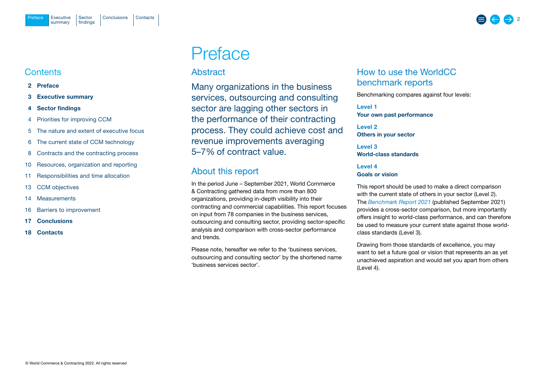## <span id="page-1-0"></span>**Contents**

- 2 Preface
- 3 [Executive summary](#page-2-0)
- 4 [Sector findings](#page-3-0)
- 4 [Priorities for improving CCM](#page-3-0)
- 5 [The nature and extent of executive focus](#page-4-0)
- 6 [The current state of CCM technology](#page-5-0)
- 8 [Contracts and the contracting process](#page-7-0)
- 10 [Resources, organization and reporting](#page-9-0)
- 11 [Responsibilities and time allocation](#page-10-0)
- 13 [CCM objectives](#page-12-0)
- 14 [Measurements](#page-13-0)
- 16 [Barriers to improvement](#page-15-0)
- 17 [Conclusions](#page-16-0)
- 18 [Contacts](#page-17-0)

## Preface

## Abstract

Many organizations in the business services, outsourcing and consulting sector are lagging other sectors in the performance of their contracting process. They could achieve cost and revenue improvements averaging 5–7% of contract value.

## About this report

In the period June – September 2021, World Commerce & Contracting gathered data from more than 800 organizations, providing in-depth visibility into their contracting and commercial capabilities. This report focuses on input from 78 companies in the business services, outsourcing and consulting sector, providing sector-specific analysis and comparison with cross-sector performance and trends.

Please note, hereafter we refer to the 'business services, outsourcing and consulting sector' by the shortened name 'business services sector'.

## How to use the WorldCC benchmark reports

Benchmarking compares against four levels:

Level 1 Your own past performance

Level 2 Others in your sector

Level 3 World-class standards

## Level 4 Goals or vision

This report should be used to make a direct comparison with the current state of others in your sector (Level 2). The *[Benchmark Report](https://www.worldcc.com/Portals/IACCM/Resources/WorldCC-Benchmark-report-2021.pdf?ver=NPQMEljK4Q-meXZLABtd2w%3d%3d) 2021* (published September 2021) provides a cross-sector comparison, but more importantly offers insight to world-class performance, and can therefore be used to measure your current state against those worldclass standards (Level 3).

Drawing from those standards of excellence, you may want to set a future goal or vision that represents an as yet unachieved aspiration and would set you apart from others (Level 4).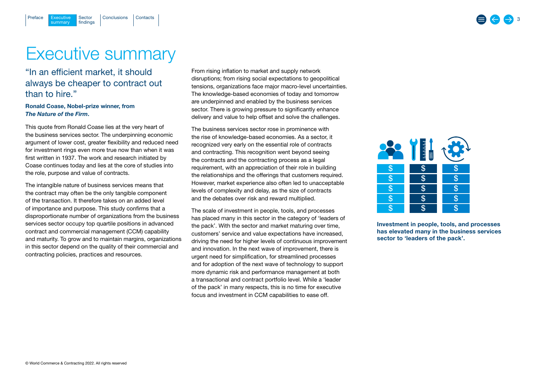## Executive summary

Executive Sector [Conclusions](#page-16-0) [Contacts](#page-17-0)

Sector findings

## "In an efficient market, it should always be cheaper to contract out than to hire."

## Ronald Coase, Nobel-prize winner, from *The Nature of the Firm*.

summary

<span id="page-2-0"></span>[Preface](#page-1-0)

This quote from Ronald Coase lies at the very heart of the business services sector. The underpinning economic argument of lower cost, greater flexibility and reduced need for investment rings even more true now than when it was first written in 1937. The work and research initiated by Coase continues today and lies at the core of studies into the role, purpose and value of contracts.

The intangible nature of business services means that the contract may often be the only tangible component of the transaction. It therefore takes on an added level of importance and purpose. This study confirms that a disproportionate number of organizations from the business services sector occupy top quartile positions in advanced contract and commercial management (CCM) capability and maturity. To grow and to maintain margins, organizations in this sector depend on the quality of their commercial and contracting policies, practices and resources.

From rising inflation to market and supply network disruptions; from rising social expectations to geopolitical tensions, organizations face major macro-level uncertainties. The knowledge-based economies of today and tomorrow are underpinned and enabled by the business services sector. There is growing pressure to significantly enhance delivery and value to help offset and solve the challenges.

The business services sector rose in prominence with the rise of knowledge-based economies. As a sector, it recognized very early on the essential role of contracts and contracting. This recognition went beyond seeing the contracts and the contracting process as a legal requirement, with an appreciation of their role in building the relationships and the offerings that customers required. However, market experience also often led to unacceptable levels of complexity and delay, as the size of contracts and the debates over risk and reward multiplied.

The scale of investment in people, tools, and processes has placed many in this sector in the category of 'leaders of the pack'. With the sector and market maturing over time, customers' service and value expectations have increased, driving the need for higher levels of continuous improvement and innovation. In the next wave of improvement, there is urgent need for simplification, for streamlined processes and for adoption of the next wave of technology to support more dynamic risk and performance management at both a transactional and contract portfolio level. While a 'leader of the pack' in many respects, this is no time for executive focus and investment in CCM capabilities to ease off.



Investment in people, tools, and processes has elevated many in the business services sector to 'leaders of the pack'.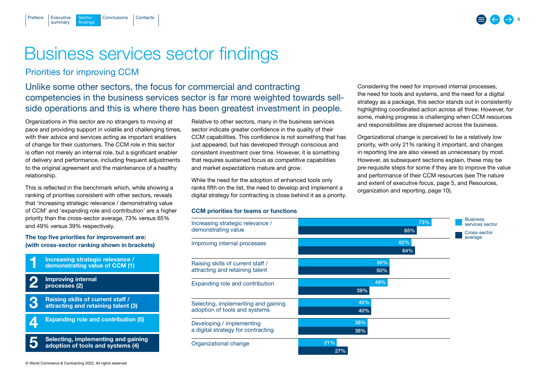## Business services sector findings

## Priorities for improving CCM

**Sector** findings

summary

<span id="page-3-0"></span>[Preface](#page-1-0)

Unlike some other sectors, the focus for commercial and contracting competencies in the business services sector is far more weighted towards sellside operations and this is where there has been greatest investment in people.

Organizations in this sector are no strangers to moving at pace and providing support in volatile and challenging times, with their advice and services acting as important enablers of change for their customers. The CCM role in this sector is often not merely an internal role, but a significant enabler of delivery and performance, including frequent adjustments to the original agreement and the maintenance of a healthy relationship.

[Executive](#page-2-0) Sector [Conclusions](#page-16-0) [Contacts](#page-17-0)

This is reflected in the benchmark which, while showing a ranking of priorities consistent with other sectors, reveals that 'increasing strategic relevance / demonstrating value of CCM' and 'expanding role and contribution' are a higher priority than the cross-sector average, 73% versus 65% and 49% versus 39% respectively.

## The top five priorities for improvement are: (with cross-sector ranking shown in brackets)



© World Commerce & Contracting 2022. All rights reserved

Relative to other sectors, many in the business services sector indicate greater confidence in the quality of their CCM capabilities. This confidence is not something that has just appeared, but has developed through conscious and consistent investment over time. However, it is something that requires sustained focus as competitive capabilities and market expectations mature and grow.

While the need for the adoption of enhanced tools only ranks fifth on the list, the need to develop and implement a digital strategy for contracting is close behind it as a priority.

#### CCM priorities for teams or functions

73% 65% Increasing strategic relevance / demonstrating value 62% 64% Improving internal processes Raising skills of current staff / attracting and retaining talent Expanding role and contribution Selecting, implementing and gaining adoption of tools and systems 50% 50% 49% 39% 40% 40% Developing / implementing a digital strategy for contracting 38% 38% Organizational change 21% 27% **Business** services sector Cross-sector average

Considering the need for improved internal processes, the need for tools and systems, and the need for a digital strategy as a package, this sector stands out in consistently highlighting coordinated action across all three. However, for some, making progress is challenging when CCM resources and responsibilities are dispersed across the business.

Organizational change is perceived to be a relatively low priority, with only 21% ranking it important, and changes in reporting line are also viewed as unnecessary by most. However, as subsequent sections explain, these may be pre-requisite steps for some if they are to improve the value and performance of their CCM resources (see [The nature](#page-4-0)  [and extent of executive focus, page 5,](#page-4-0) and [Resources,](#page-9-0)  [organization and reporting, page 10\)](#page-9-0).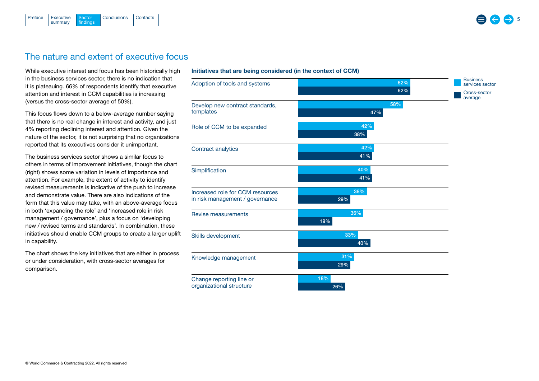<span id="page-4-0"></span>

## The nature and extent of executive focus

While executive interest and focus has been historically high in the business services sector, there is no indication that it is plateauing. 66% of respondents identify that executive attention and interest in CCM capabilities is increasing (versus the cross-sector average of 50%).

This focus flows down to a below-average number saying that there is no real change in interest and activity, and just 4% reporting declining interest and attention. Given the nature of the sector, it is not surprising that no organizations reported that its executives consider it unimportant.

The business services sector shows a similar focus to others in terms of improvement initiatives, though the chart (right) shows some variation in levels of importance and attention. For example, the extent of activity to identify revised measurements is indicative of the push to increase and demonstrate value. There are also indications of the form that this value may take, with an above-average focus in both 'expanding the role' and 'increased role in risk management / governance', plus a focus on 'developing new / revised terms and standards'. In combination, these initiatives should enable CCM groups to create a larger uplift in capability.

The chart shows the key initiatives that are either in process or under consideration, with cross-sector averages for comparison.

#### Initiatives that are being considered (in the context of CCM)

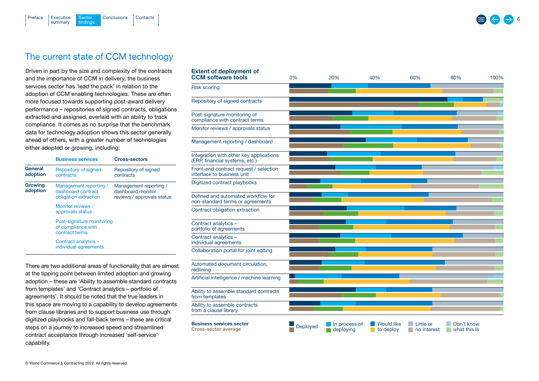<span id="page-5-0"></span>

## The current state of CCM technology

Driven in part by the size and complexity of the contracts and the importance of CCM in delivery, the business services sector has 'lead the pack' in relation to the adoption of CCM enabling technologies. These are often more focused towards supporting post-award delivery performance – repositories of signed contracts, obligations extracted and assigned, overlaid with an ability to track compliance. It comes as no surprise that the benchmark data for technology adoption shows this sector generally ahead of others, with a greater number of technologies either adopted or growing, including:

|                     | <b>Business services</b>                                              | <b>Cross-sectors</b>                                                      |
|---------------------|-----------------------------------------------------------------------|---------------------------------------------------------------------------|
| General<br>adoption | Repository of signed<br>contracts                                     | Repository of signed<br>contracts                                         |
| Growing<br>adoption | Management reporting /<br>dashboard contract<br>obligation extraction | Management reporting /<br>dashboard monitor<br>reviews / approvals status |
|                     | Monitor reviews /<br>approvals status                                 |                                                                           |
|                     | Post-signature monitoring<br>of compliance with<br>contract terms     |                                                                           |
|                     | Contract analytics -<br>individual agreements                         |                                                                           |

There are two additional areas of functionality that are almost at the tipping point between limited adoption and growing adoption – these are 'Ability to assemble standard contracts from templates' and 'Contract analytics – portfolio of agreements'. It should be noted that the true leaders in this space are moving to a capability to develop agreements from clause libraries and to support business use through digitized playbooks and fall-back terms – these are critical steps on a journey to increased speed and streamlined contract acceptance through increased 'self-service' capability.

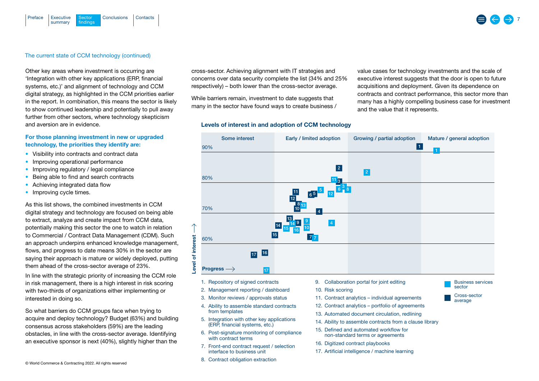#### The current state of CCM technology (continued)

Sector findings

summary

[Preface](#page-1-0)

Other key areas where investment is occurring are 'Integration with other key applications (ERP, financial systems, etc.)' and alignment of technology and CCM digital strategy, as highlighted in the CCM priorities earlier in the report. In combination, this means the sector is likely to show continued leadership and potentially to pull away further from other sectors, where technology skepticism and aversion are in evidence.

[Executive](#page-2-0) Sector [Conclusions](#page-16-0) [Contacts](#page-17-0)

#### For those planning investment in new or upgraded technology, the priorities they identify are:

- Visibility into contracts and contract data
- Improving operational performance
- Improving regulatory / legal compliance
- Being able to find and search contracts
- Achieving integrated data flow
- Improving cycle times.

As this list shows, the combined investments in CCM digital strategy and technology are focused on being able to extract, analyze and create impact from CCM data, potentially making this sector the one to watch in relation to Commercial / Contract Data Management (CDM). Such an approach underpins enhanced knowledge management, flows, and progress to date means 30% in the sector are saying their approach is mature or widely deployed, putting them ahead of the cross-sector average of 23%.

In line with the strategic priority of increasing the CCM role in risk management, there is a high interest in risk scoring with two-thirds of organizations either implementing or interested in doing so.

So what barriers do CCM groups face when trying to acquire and deploy technology? Budget (63%) and building consensus across stakeholders (59%) are the leading obstacles, in line with the cross-sector average. Identifying an executive sponsor is next (40%), slightly higher than the

cross-sector. Achieving alignment with IT strategies and concerns over data security complete the list (34% and 25% respectively) – both lower than the cross-sector average.

While barriers remain, investment to date suggests that many in the sector have found ways to create business /

#### Levels of interest in and adoption of CCM technology

value cases for technology investments and the scale of executive interest suggests that the door is open to future acquisitions and deployment. Given its dependence on contracts and contract performance, this sector more than many has a highly compelling business case for investment and the value that it represents.

> sector Cross-sector average



- 
- 2. Management reporting / dashboard
- 3. Monitor reviews / approvals status
- 4. Ability to assemble standard contracts from templates
- 5. Integration with other key applications (ERP, financial systems, etc.)
- 6. Post-signature monitoring of compliance with contract terms
- 7. Front-end contract request / selection interface to business unit
- 8. Contract obligation extraction
- 
- 10. Risk scoring
- 11. Contract analytics individual agreements
- 12. Contract analytics portfolio of agreements
- 13. Automated document circulation, redlining
- 14. Ability to assemble contracts from a clause library
- 15. Defined and automated workflow for non-standard terms or agreements
- 16. Digitized contract playbooks
- 17. Artificial intelligence / machine learning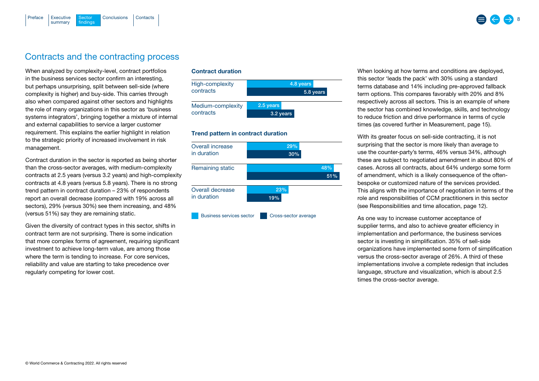<span id="page-7-0"></span>

## Contracts and the contracting process

When analyzed by complexity-level, contract portfolios in the business services sector confirm an interesting, but perhaps unsurprising, split between sell-side (where complexity is higher) and buy-side. This carries through also when compared against other sectors and highlights the role of many organizations in this sector as 'business systems integrators', bringing together a mixture of internal and external capabilities to service a larger customer requirement. This explains the earlier highlight in relation to the strategic priority of increased involvement in risk management.

Contract duration in the sector is reported as being shorter than the cross-sector averages, with medium-complexity contracts at 2.5 years (versus 3.2 years) and high-complexity contracts at 4.8 years (versus 5.8 years). There is no strong trend pattern in contract duration – 23% of respondents report an overall decrease (compared with 19% across all sectors), 29% (versus 30%) see them increasing, and 48% (versus 51%) say they are remaining static.

Given the diversity of contract types in this sector, shifts in contract term are not surprising. There is some indication that more complex forms of agreement, requiring significant investment to achieve long-term value, are among those where the term is tending to increase. For core services, reliability and value are starting to take precedence over regularly competing for lower cost.

### Contract duration



#### Trend pattern in contract duration



When looking at how terms and conditions are deployed, this sector 'leads the pack' with 30% using a standard terms database and 14% including pre-approved fallback term options. This compares favorably with 20% and 8% respectively across all sectors. This is an example of where the sector has combined knowledge, skills, and technology to reduce friction and drive performance in terms of cycle times (as covered further in [Measurement, page 15\)](#page-14-0).

With its greater focus on sell-side contracting, it is not surprising that the sector is more likely than average to use the counter-party's terms, 46% versus 34%, although these are subject to negotiated amendment in about 80% of cases. Across all contracts, about 64% undergo some form of amendment, which is a likely consequence of the oftenbespoke or customized nature of the services provided. This aligns with the importance of negotiation in terms of the role and responsibilities of CCM practitioners in this sector ([see Responsibilities and time allocation, page 12\)](#page-11-0).

As one way to increase customer acceptance of supplier terms, and also to achieve greater efficiency in implementation and performance, the business services sector is investing in simplification. 35% of sell-side organizations have implemented some form of simplification versus the cross-sector average of 26%. A third of these implementations involve a complete redesign that includes language, structure and visualization, which is about 2.5 times the cross-sector average.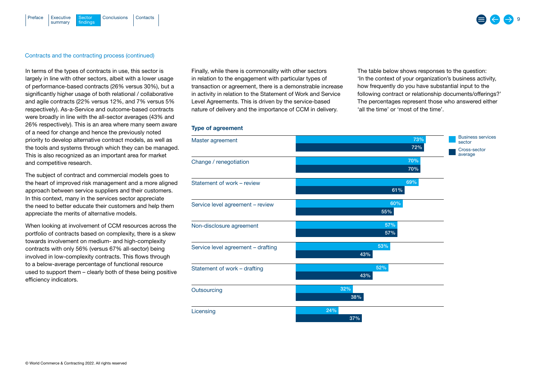#### [Executive](#page-2-0) Sector [Conclusions](#page-16-0) [Contacts](#page-17-0) summary Sector findings [Preface](#page-1-0)

#### Contracts and the contracting process (continued)

In terms of the types of contracts in use, this sector is largely in line with other sectors, albeit with a lower usage of performance-based contracts (26% versus 30%), but a significantly higher usage of both relational / collaborative and agile contracts (22% versus 12%, and 7% versus 5% respectively). As-a-Service and outcome-based contracts were broadly in line with the all-sector averages (43% and 26% respectively). This is an area where many seem aware of a need for change and hence the previously noted priority to develop alternative contract models, as well as the tools and systems through which they can be managed. This is also recognized as an important area for market and competitive research.

The subject of contract and commercial models goes to the heart of improved risk management and a more aligned approach between service suppliers and their customers. In this context, many in the services sector appreciate the need to better educate their customers and help them appreciate the merits of alternative models.

When looking at involvement of CCM resources across the portfolio of contracts based on complexity, there is a skew towards involvement on medium- and high-complexity contracts with only 56% (versus 67% all-sector) being involved in low-complexity contracts. This flows through to a below-average percentage of functional resource used to support them – clearly both of these being positive efficiency indicators.

Finally, while there is commonality with other sectors in relation to the engagement with particular types of transaction or agreement, there is a demonstrable increase in activity in relation to the Statement of Work and Service Level Agreements. This is driven by the service-based nature of delivery and the importance of CCM in delivery.

The table below shows responses to the question: 'In the context of your organization's business activity, how frequently do you have substantial input to the following contract or relationship documents/offerings?' The percentages represent those who answered either 'all the time' or 'most of the time'.

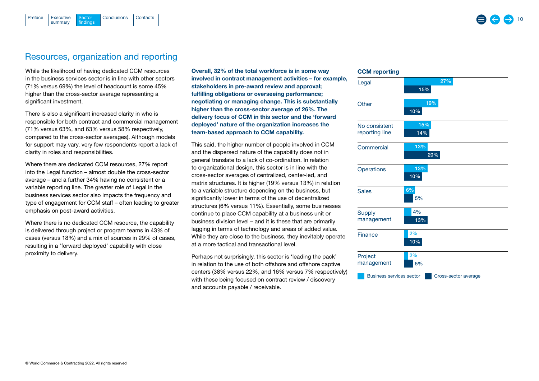## Resources, organization and reporting

[Executive](#page-2-0) Sector [Conclusions](#page-16-0) [Contacts](#page-17-0)

**Sector** findings

summary

<span id="page-9-0"></span>[Preface](#page-1-0)

While the likelihood of having dedicated CCM resources in the business services sector is in line with other sectors (71% versus 69%) the level of headcount is some 45% higher than the cross-sector average representing a significant investment.

There is also a significant increased clarity in who is responsible for both contract and commercial management (71% versus 63%, and 63% versus 58% respectively, compared to the cross-sector averages). Although models for support may vary, very few respondents report a lack of clarity in roles and responsibilities.

Where there are dedicated CCM resources, 27% report into the Legal function – almost double the cross-sector average – and a further 34% having no consistent or a variable reporting line. The greater role of Legal in the business services sector also impacts the frequency and type of engagement for CCM staff – often leading to greater emphasis on post-award activities.

Where there is no dedicated CCM resource, the capability is delivered through project or program teams in 43% of cases (versus 18%) and a mix of sources in 29% of cases, resulting in a 'forward deployed' capability with close proximity to delivery.

Overall, 32% of the total workforce is in some way involved in contract management activities – for example, stakeholders in pre-award review and approval; fulfilling obligations or overseeing performance; negotiating or managing change. This is substantially higher than the cross-sector average of 26%. The delivery focus of CCM in this sector and the 'forward deployed' nature of the organization increases the team-based approach to CCM capability.

This said, the higher number of people involved in CCM and the dispersed nature of the capability does not in general translate to a lack of co-ordination. In relation to organizational design, this sector is in line with the cross-sector averages of centralized, center-led, and matrix structures. It is higher (19% versus 13%) in relation to a variable structure depending on the business, but significantly lower in terms of the use of decentralized structures (6% versus 11%). Essentially, some businesses continue to place CCM capability at a business unit or business division level – and it is these that are primarily lagging in terms of technology and areas of added value. While they are close to the business, they inevitably operate at a more tactical and transactional level.

Perhaps not surprisingly, this sector is 'leading the pack' in relation to the use of both offshore and offshore captive centers (38% versus 22%, and 16% versus 7% respectively) with these being focused on contract review / discovery and accounts payable / receivable.

## CCM reporting

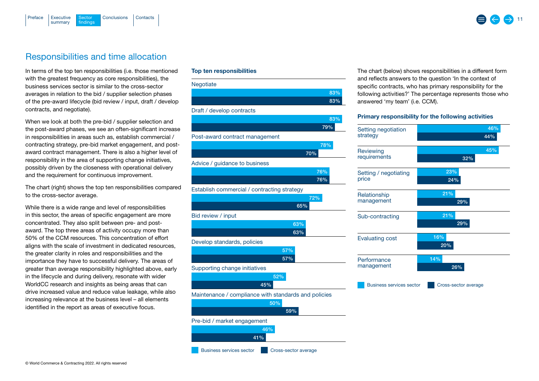<span id="page-10-0"></span>

## Responsibilities and time allocation

In terms of the top ten responsibilities (i.e. those mentioned with the greatest frequency as core responsibilities), the business services sector is similar to the cross-sector averages in relation to the bid / supplier selection phases of the pre-award lifecycle (bid review / input, draft / develop contracts, and negotiate).

When we look at both the pre-bid / supplier selection and the post-award phases, we see an often-significant increase in responsibilities in areas such as, establish commercial / contracting strategy, pre-bid market engagement, and postaward contract management. There is also a higher level of responsibility in the area of supporting change initiatives, possibly driven by the closeness with operational delivery and the requirement for continuous improvement.

The chart (right) shows the top ten responsibilities compared to the cross-sector average.

While there is a wide range and level of responsibilities in this sector, the areas of specific engagement are more concentrated. They also split between pre- and postaward. The top three areas of activity occupy more than 50% of the CCM resources. This concentration of effort aligns with the scale of investment in dedicated resources, the greater clarity in roles and responsibilities and the importance they have to successful delivery. The areas of greater than average responsibility highlighted above, early in the lifecycle and during delivery, resonate with wider WorldCC research and insights as being areas that can drive increased value and reduce value leakage, while also increasing relevance at the business level – all elements identified in the report as areas of executive focus.

### Top ten responsibilities



The chart (below) shows responsibilities in a different form and reflects answers to the question 'In the context of specific contracts, who has primary responsibility for the following activities?' The percentage represents those who answered 'my team' (i.e. CCM).

## Primary responsibility for the following activities

| Setting negotiation             | 46%                  |
|---------------------------------|----------------------|
| strategy                        | 44%                  |
| Reviewing                       | 45%                  |
| requirements                    | 32%                  |
| Setting / negotiating           | 23%                  |
| price                           | 24%                  |
| Relationship                    | 21%                  |
| management                      | 29%                  |
| Sub-contracting                 | 21%                  |
|                                 | 29%                  |
| <b>Evaluating cost</b>          | 16%                  |
|                                 | 20%                  |
| Performance                     | 14%                  |
| management                      | 26%                  |
| <b>Business services sector</b> | Cross-sector average |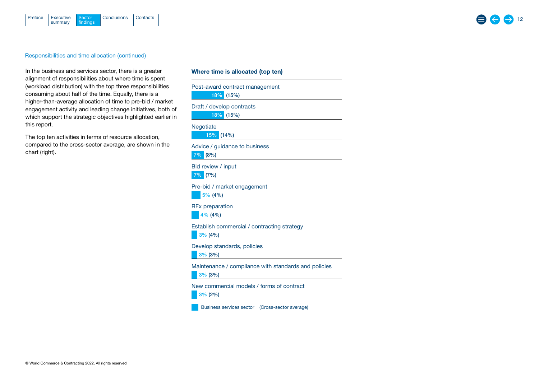<span id="page-11-0"></span>

### Responsibilities and time allocation (continued)

In the business and services sector, there is a greater alignment of responsibilities about where time is spent (workload distribution) with the top three responsibilities consuming about half of the time. Equally, there is a higher-than-average allocation of time to pre-bid / market engagement activity and leading change initiatives, both of which support the strategic objectives highlighted earlier in this report.

The top ten activities in terms of resource allocation, compared to the cross-sector average, are shown in the chart (right).

### Where time is allocated (top ten)

| Post-award contract management<br>18%<br>(15%)                     |  |  |
|--------------------------------------------------------------------|--|--|
| Draft / develop contracts<br>18% (15%)                             |  |  |
| Negotiate<br>15%<br>$(14\%)$                                       |  |  |
| Advice / guidance to business<br>7%<br>(8%)                        |  |  |
| Bid review / input<br>$7\%$<br>(7%)                                |  |  |
| Pre-bid / market engagement<br>5% (4%)                             |  |  |
| <b>RFx preparation</b><br>$4\%$ (4%)                               |  |  |
| Establish commercial / contracting strategy<br>$3\%$ (4%)          |  |  |
| Develop standards, policies<br>$3\%$ (3%)                          |  |  |
| Maintenance / compliance with standards and policies<br>$3\%$ (3%) |  |  |
| New commercial models / forms of contract<br>$3\%$ (2%)            |  |  |

Business services sector (Cross-sector average)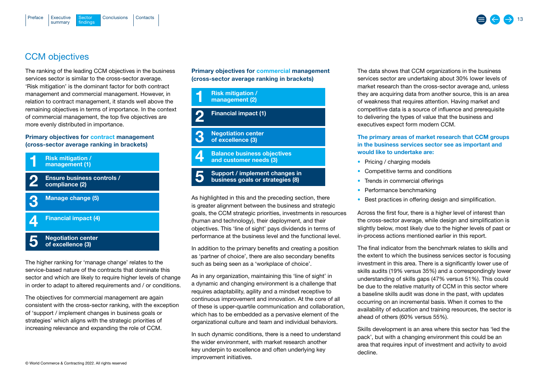<span id="page-12-0"></span>

## CCM objectives

The ranking of the leading CCM objectives in the business services sector is similar to the cross-sector average. 'Risk mitigation' is the dominant factor for both contract management and commercial management. However, in relation to contract management, it stands well above the remaining objectives in terms of importance. In the context of commercial management, the top five objectives are more evenly distributed in importance.

## Primary objectives for contract management (cross-sector average ranking in brackets)



The higher ranking for 'manage change' relates to the service-based nature of the contracts that dominate this sector and which are likely to require higher levels of change in order to adapt to altered requirements and / or conditions.

The objectives for commercial management are again consistent with the cross-sector ranking, with the exception of 'support / implement changes in business goals or strategies' which aligns with the strategic priorities of increasing relevance and expanding the role of CCM.

Primary objectives for commercial management (cross-sector average ranking in brackets)



Support / implement changes in business goals or strategies (8) 5

As highlighted in this and the preceding section, there is greater alignment between the business and strategic goals, the CCM strategic priorities, investments in resources (human and technology), their deployment, and their objectives. This 'line of sight' pays dividends in terms of performance at the business level and the functional level.

In addition to the primary benefits and creating a position as 'partner of choice', there are also secondary benefits such as being seen as a 'workplace of choice'.

As in any organization, maintaining this 'line of sight' in a dynamic and changing environment is a challenge that requires adaptability, agility and a mindset receptive to continuous improvement and innovation. At the core of all of these is upper-quartile communication and collaboration, which has to be embedded as a pervasive element of the organizational culture and team and individual behaviors.

In such dynamic conditions, there is a need to understand the wider environment, with market research another key underpin to excellence and often underlying key improvement initiatives.

The data shows that CCM organizations in the business services sector are undertaking about 30% lower levels of market research than the cross-sector average and, unless they are acquiring data from another source, this is an area of weakness that requires attention. Having market and competitive data is a source of influence and prerequisite to delivering the types of value that the business and executives expect form modern CCM.

## The primary areas of market research that CCM groups in the business services sector see as important and would like to undertake are:

- Pricing / charging models
- Competitive terms and conditions
- Trends in commercial offerings
- Performance benchmarking
- Best practices in offering design and simplification.

Across the first four, there is a higher level of interest than the cross-sector average, while design and simplification is slightly below, most likely due to the higher levels of past or in-process actions mentioned earlier in this report.

The final indicator from the benchmark relates to skills and the extent to which the business services sector is focusing investment in this area. There is a significantly lower use of skills audits (19% versus 35%) and a correspondingly lower understanding of skills gaps (47% versus 51%). This could be due to the relative maturity of CCM in this sector where a baseline skills audit was done in the past, with updates occurring on an incremental basis. When it comes to the availability of education and training resources, the sector is ahead of others (60% versus 55%).

Skills development is an area where this sector has 'led the pack', but with a changing environment this could be an area that requires input of investment and activity to avoid decline.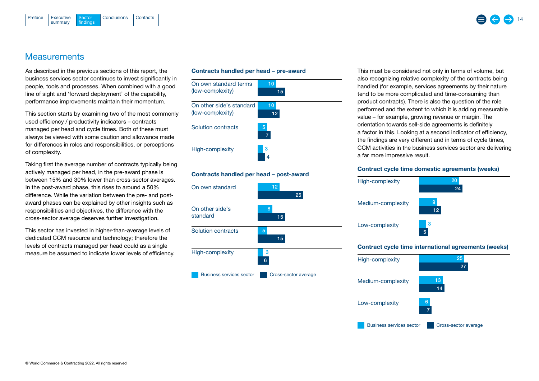<span id="page-13-0"></span>



## **Measurements**

As described in the previous sections of this report, the business services sector continues to invest significantly in people, tools and processes. When combined with a good line of sight and 'forward deployment' of the capability, performance improvements maintain their momentum.

This section starts by examining two of the most commonly used efficiency / productivity indicators – contracts managed per head and cycle times. Both of these must always be viewed with some caution and allowance made for differences in roles and responsibilities, or perceptions of complexity.

Taking first the average number of contracts typically being actively managed per head, in the pre-award phase is between 15% and 30% lower than cross-sector averages. In the post-award phase, this rises to around a 50% difference. While the variation between the pre- and postaward phases can be explained by other insights such as responsibilities and objectives, the difference with the cross-sector average deserves further investigation.

This sector has invested in higher-than-average levels of dedicated CCM resource and technology; therefore the levels of contracts managed per head could as a single measure be assumed to indicate lower levels of efficiency.





### Contracts handled per head – post-award



This must be considered not only in terms of volume, but also recognizing relative complexity of the contracts being handled (for example, services agreements by their nature tend to be more complicated and time-consuming than product contracts). There is also the question of the role performed and the extent to which it is adding measurable value – for example, growing revenue or margin. The orientation towards sell-side agreements is definitely a factor in this. Looking at a second indicator of efficiency, the findings are very different and in terms of cycle times, CCM activities in the business services sector are delivering a far more impressive result.

#### Contract cycle time domestic agreements (weeks)



| High-complexity                 | 25<br>27             |
|---------------------------------|----------------------|
| Medium-complexity               | 13<br>14             |
| Low-complexity                  | 6<br>7               |
| <b>Business services sector</b> | Cross-sector average |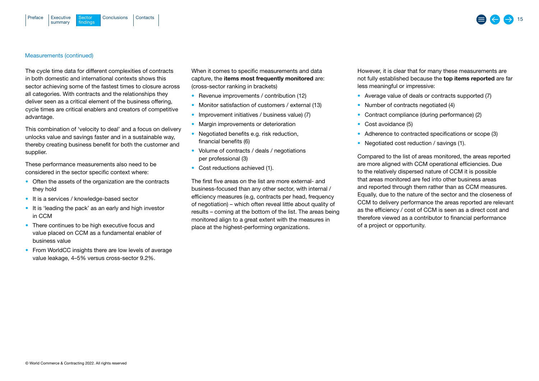<span id="page-14-0"></span>



#### Measurements (continued)

The cycle time data for different complexities of contracts in both domestic and international contexts shows this sector achieving some of the fastest times to closure across all categories. With contracts and the relationships they deliver seen as a critical element of the business offering, cycle times are critical enablers and creators of competitive advantage.

This combination of 'velocity to deal' and a focus on delivery unlocks value and savings faster and in a sustainable way, thereby creating business benefit for both the customer and supplier.

These performance measurements also need to be considered in the sector specific context where:

- Often the assets of the organization are the contracts they hold
- It is a services / knowledge-based sector
- It is 'leading the pack' as an early and high investor in CCM
- There continues to be high executive focus and value placed on CCM as a fundamental enabler of business value
- From WorldCC insights there are low levels of average value leakage, 4–5% versus cross-sector 9.2%.

When it comes to specific measurements and data capture, the items most frequently monitored are: (cross-sector ranking in brackets)

- Revenue improvements / contribution (12)
- Monitor satisfaction of customers / external (13)
- Improvement initiatives / business value) (7)
- Margin improvements or deterioration
- Negotiated benefits e.g. risk reduction, financial benefits (6)
- Volume of contracts / deals / negotiations per professional (3)
- Cost reductions achieved (1).

The first five areas on the list are more external- and business-focused than any other sector, with internal / efficiency measures (e.g, contracts per head, frequency of negotiation) – which often reveal little about quality of results – coming at the bottom of the list. The areas being monitored align to a great extent with the measures in place at the highest-performing organizations.

However, it is clear that for many these measurements are not fully established because the top items reported are far less meaningful or impressive:

- Average value of deals or contracts supported (7)
- Number of contracts negotiated (4)
- Contract compliance (during performance) (2)
- Cost avoidance (5)
- Adherence to contracted specifications or scope (3)
- Negotiated cost reduction / savings (1).

Compared to the list of areas monitored, the areas reported are more aligned with CCM operational efficiencies. Due to the relatively dispersed nature of CCM it is possible that areas monitored are fed into other business areas and reported through them rather than as CCM measures. Equally, due to the nature of the sector and the closeness of CCM to delivery performance the areas reported are relevant as the efficiency / cost of CCM is seen as a direct cost and therefore viewed as a contributor to financial performance of a project or opportunity.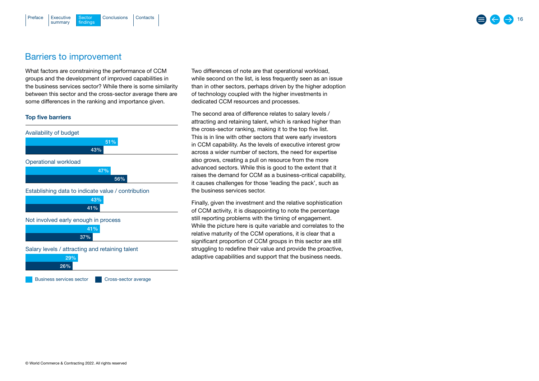## <span id="page-15-0"></span>Barriers to improvement

What factors are constraining the performance of CCM groups and the development of improved capabilities in the business services sector? While there is some similarity between this sector and the cross-sector average there are some differences in the ranking and importance given.

## Top five barriers



Two differences of note are that operational workload, while second on the list, is less frequently seen as an issue than in other sectors, perhaps driven by the higher adoption of technology coupled with the higher investments in dedicated CCM resources and processes.

The second area of difference relates to salary levels / attracting and retaining talent, which is ranked higher than the cross-sector ranking, making it to the top five list. This is in line with other sectors that were early investors in CCM capability. As the levels of executive interest grow across a wider number of sectors, the need for expertise also grows, creating a pull on resource from the more advanced sectors. While this is good to the extent that it raises the demand for CCM as a business-critical capability, it causes challenges for those 'leading the pack', such as the business services sector.

Finally, given the investment and the relative sophistication of CCM activity, it is disappointing to note the percentage still reporting problems with the timing of engagement. While the picture here is quite variable and correlates to the relative maturity of the CCM operations, it is clear that a significant proportion of CCM groups in this sector are still struggling to redefine their value and provide the proactive, adaptive capabilities and support that the business needs.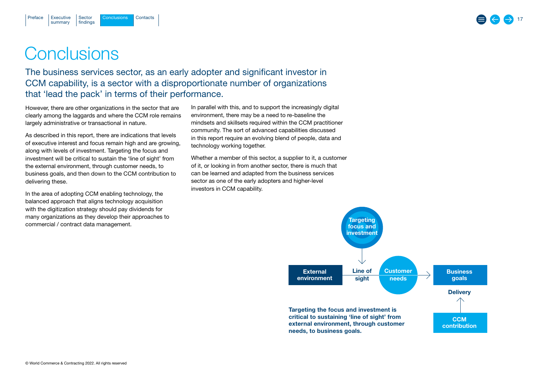## **Conclusions**

summary

<span id="page-16-0"></span>[Preface](#page-1-0)

The business services sector, as an early adopter and significant investor in CCM capability, is a sector with a disproportionate number of organizations that 'lead the pack' in terms of their performance.

However, there are other organizations in the sector that are clearly among the laggards and where the CCM role remains largely administrative or transactional in nature.

[Executive](#page-2-0) Sector Conclusions [Contacts](#page-17-0)

Sector findings

As described in this report, there are indications that levels of executive interest and focus remain high and are growing, along with levels of investment. Targeting the focus and investment will be critical to sustain the 'line of sight' from the external environment, through customer needs, to business goals, and then down to the CCM contribution to delivering these.

In the area of adopting CCM enabling technology, the balanced approach that aligns technology acquisition with the digitization strategy should pay dividends for many organizations as they develop their approaches to commercial / contract data management.

In parallel with this, and to support the increasingly digital environment, there may be a need to re-baseline the mindsets and skillsets required within the CCM practitioner community. The sort of advanced capabilities discussed in this report require an evolving blend of people, data and technology working together.

Whether a member of this sector, a supplier to it, a customer of it, or looking in from another sector, there is much that can be learned and adapted from the business services sector as one of the early adopters and higher-level investors in CCM capability.